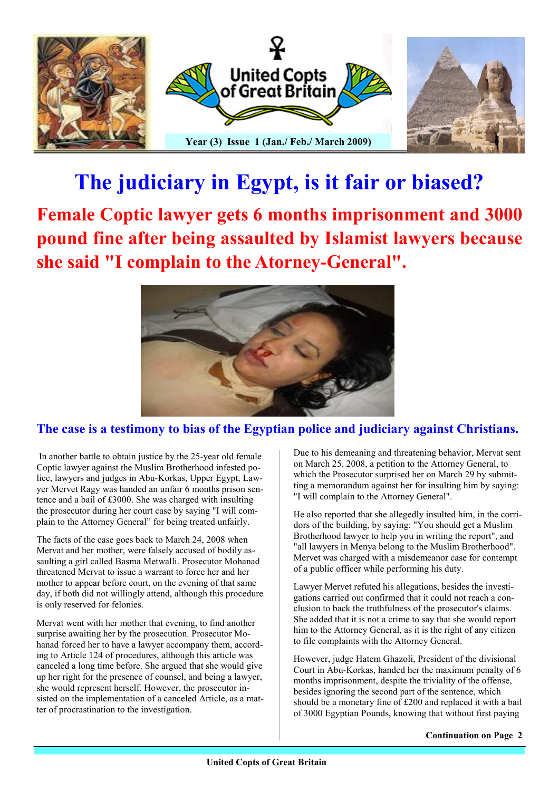

# The judiciary in Egypt, is it fair or biased?

Female Coptic lawyer gets 6 months imprisonment and 3000 pound fine after being assaulted by Islamist lawyers because she said "I complain to the Atorney-General".



### The case is a testimony to bias of the Egyptian police and judiciary against Christians.

 In another battle to obtain justice by the 25-year old female Coptic lawyer against the Muslim Brotherhood infested police, lawyers and judges in Abu-Korkas, Upper Egypt, Lawyer Mervet Ragy was handed an unfair 6 months prison sentence and a bail of £3000. She was charged with insulting the prosecutor during her court case by saying "I will complain to the Attorney General" for being treated unfairly.

The facts of the case goes back to March 24, 2008 when Mervat and her mother, were falsely accused of bodily assaulting a girl called Basma Metwalli. Prosecutor Mohanad threatened Mervat to issue a warrant to force her and her mother to appear before court, on the evening of that same day, if both did not willingly attend, although this procedure is only reserved for felonies.

Mervat went with her mother that evening, to find another surprise awaiting her by the prosecution. Prosecutor Mohanad forced her to have a lawyer accompany them, according to Article 124 of procedures, although this article was canceled a long time before. She argued that she would give up her right for the presence of counsel, and being a lawyer, she would represent herself. However, the prosecutor insisted on the implementation of a canceled Article, as a matter of procrastination to the investigation.

Due to his demeaning and threatening behavior, Mervat sent on March 25, 2008, a petition to the Attorney General, to which the Prosecutor surprised her on March 29 by submitting a memorandum against her for insulting him by saying: "I will complain to the Attorney General".

He also reported that she allegedly insulted him, in the corridors of the building, by saying: "You should get a Muslim Brotherhood lawyer to help you in writing the report", and "all lawyers in Menya belong to the Muslim Brotherhood". Mervet was charged with a misdemeanor case for contempt of a public officer while performing his duty.

Lawyer Mervet refuted his allegations, besides the investigations carried out confirmed that it could not reach a conclusion to back the truthfulness of the prosecutor's claims. She added that it is not a crime to say that she would report him to the Attorney General, as it is the right of any citizen to file complaints with the Attorney General.

However, judge Hatem Ghazoli, President of the divisional Court in Abu-Korkas, handed her the maximum penalty of 6 months imprisonment, despite the triviality of the offense, besides ignoring the second part of the sentence, which should be a monetary fine of £200 and replaced it with a bail of 3000 Egyptian Pounds, knowing that without first paying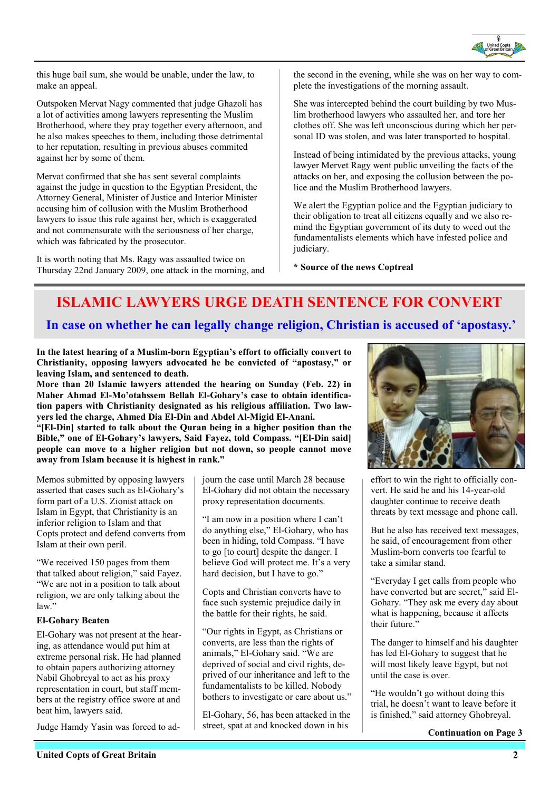

this huge bail sum, she would be unable, under the law, to make an appeal.

Outspoken Mervat Nagy commented that judge Ghazoli has a lot of activities among lawyers representing the Muslim Brotherhood, where they pray together every afternoon, and he also makes speeches to them, including those detrimental to her reputation, resulting in previous abuses commited against her by some of them.

Mervat confirmed that she has sent several complaints against the judge in question to the Egyptian President, the Attorney General, Minister of Justice and Interior Minister accusing him of collusion with the Muslim Brotherhood lawyers to issue this rule against her, which is exaggerated and not commensurate with the seriousness of her charge, which was fabricated by the prosecutor.

It is worth noting that Ms. Ragy was assaulted twice on Thursday 22nd January 2009, one attack in the morning, and the second in the evening, while she was on her way to complete the investigations of the morning assault.

She was intercepted behind the court building by two Muslim brotherhood lawyers who assaulted her, and tore her clothes off. She was left unconscious during which her personal ID was stolen, and was later transported to hospital.

Instead of being intimidated by the previous attacks, young lawyer Mervet Ragy went public unveiling the facts of the attacks on her, and exposing the collusion between the police and the Muslim Brotherhood lawyers.

We alert the Egyptian police and the Egyptian judiciary to their obligation to treat all citizens equally and we also remind the Egyptian government of its duty to weed out the fundamentalists elements which have infested police and judiciary.

\* Source of the news Coptreal

## ISLAMIC LAWYERS URGE DEATH SENTENCE FOR CONVERT

### In case on whether he can legally change religion, Christian is accused of 'apostasy.'

In the latest hearing of a Muslim-born Egyptian's effort to officially convert to Christianity, opposing lawyers advocated he be convicted of "apostasy," or leaving Islam, and sentenced to death.

More than 20 Islamic lawyers attended the hearing on Sunday (Feb. 22) in Maher Ahmad El-Mo'otahssem Bellah El-Gohary's case to obtain identification papers with Christianity designated as his religious affiliation. Two lawyers led the charge, Ahmed Dia El-Din and Abdel Al-Migid El-Anani.

"[El-Din] started to talk about the Quran being in a higher position than the Bible," one of El-Gohary's lawyers, Said Fayez, told Compass. "[El-Din said] people can move to a higher religion but not down, so people cannot move away from Islam because it is highest in rank."

Memos submitted by opposing lawyers asserted that cases such as El-Gohary's form part of a U.S. Zionist attack on Islam in Egypt, that Christianity is an inferior religion to Islam and that Copts protect and defend converts from Islam at their own peril.

"We received 150 pages from them that talked about religion," said Fayez. "We are not in a position to talk about religion, we are only talking about the law."

#### El-Gohary Beaten

El-Gohary was not present at the hearing, as attendance would put him at extreme personal risk. He had planned to obtain papers authorizing attorney Nabil Ghobreyal to act as his proxy representation in court, but staff members at the registry office swore at and beat him, lawyers said.

Judge Hamdy Yasin was forced to ad-

journ the case until March 28 because El-Gohary did not obtain the necessary proxy representation documents.

"I am now in a position where I can't do anything else," El-Gohary, who has been in hiding, told Compass. "I have to go [to court] despite the danger. I believe God will protect me. It's a very hard decision, but I have to go."

Copts and Christian converts have to face such systemic prejudice daily in the battle for their rights, he said.

"Our rights in Egypt, as Christians or converts, are less than the rights of animals," El-Gohary said. "We are deprived of social and civil rights, deprived of our inheritance and left to the fundamentalists to be killed. Nobody bothers to investigate or care about us."

El-Gohary, 56, has been attacked in the street, spat at and knocked down in his



effort to win the right to officially convert. He said he and his 14-year-old daughter continue to receive death threats by text message and phone call.

But he also has received text messages, he said, of encouragement from other Muslim-born converts too fearful to take a similar stand.

"Everyday I get calls from people who have converted but are secret," said El-Gohary. "They ask me every day about what is happening, because it affects their future."

The danger to himself and his daughter has led El-Gohary to suggest that he will most likely leave Egypt, but not until the case is over.

"He wouldn't go without doing this trial, he doesn't want to leave before it is finished," said attorney Ghobreyal.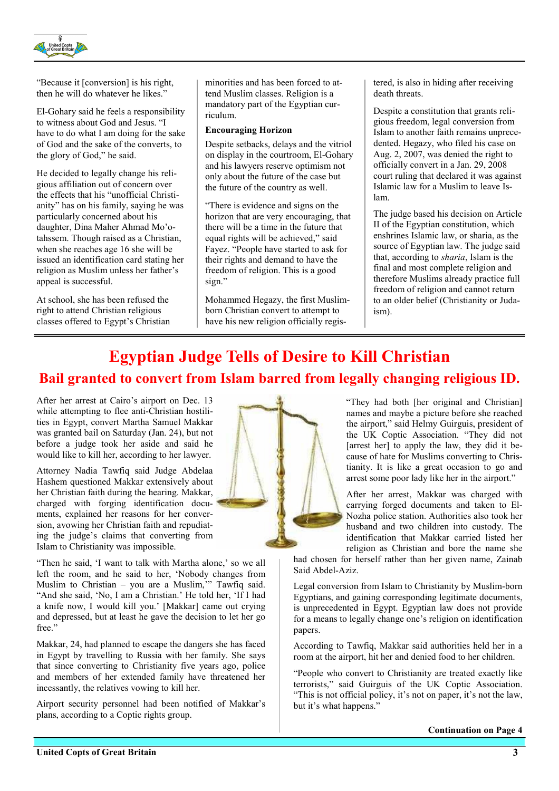

"Because it [conversion] is his right, then he will do whatever he likes."

El-Gohary said he feels a responsibility to witness about God and Jesus. "I have to do what I am doing for the sake of God and the sake of the converts, to the glory of God," he said.

He decided to legally change his religious affiliation out of concern over the effects that his "unofficial Christianity" has on his family, saying he was particularly concerned about his daughter, Dina Maher Ahmad Mo'otahssem. Though raised as a Christian, when she reaches age 16 she will be issued an identification card stating her religion as Muslim unless her father's appeal is successful.

At school, she has been refused the right to attend Christian religious classes offered to Egypt's Christian minorities and has been forced to attend Muslim classes. Religion is a mandatory part of the Egyptian curriculum.

#### Encouraging Horizon

Despite setbacks, delays and the vitriol on display in the courtroom, El-Gohary and his lawyers reserve optimism not only about the future of the case but the future of the country as well.

"There is evidence and signs on the horizon that are very encouraging, that there will be a time in the future that equal rights will be achieved," said Fayez. "People have started to ask for their rights and demand to have the freedom of religion. This is a good sign."

Mohammed Hegazy, the first Muslimborn Christian convert to attempt to have his new religion officially registered, is also in hiding after receiving death threats.

Despite a constitution that grants religious freedom, legal conversion from Islam to another faith remains unprecedented. Hegazy, who filed his case on Aug. 2, 2007, was denied the right to officially convert in a Jan. 29, 2008 court ruling that declared it was against Islamic law for a Muslim to leave Islam.

The judge based his decision on Article II of the Egyptian constitution, which enshrines Islamic law, or sharia, as the source of Egyptian law. The judge said that, according to sharia, Islam is the final and most complete religion and therefore Muslims already practice full freedom of religion and cannot return to an older belief (Christianity or Judaism).

### Egyptian Judge Tells of Desire to Kill Christian Bail granted to convert from Islam barred from legally changing religious ID.

After her arrest at Cairo's airport on Dec. 13 while attempting to flee anti-Christian hostilities in Egypt, convert Martha Samuel Makkar was granted bail on Saturday (Jan. 24), but not before a judge took her aside and said he would like to kill her, according to her lawyer.

Attorney Nadia Tawfiq said Judge Abdelaa Hashem questioned Makkar extensively about her Christian faith during the hearing. Makkar, charged with forging identification documents, explained her reasons for her conversion, avowing her Christian faith and repudiating the judge's claims that converting from Islam to Christianity was impossible.

"Then he said, 'I want to talk with Martha alone,' so we all left the room, and he said to her, 'Nobody changes from Muslim to Christian – you are a Muslim,'" Tawfiq said. "And she said, 'No, I am a Christian.' He told her, 'If I had a knife now, I would kill you.' [Makkar] came out crying and depressed, but at least he gave the decision to let her go free."

Makkar, 24, had planned to escape the dangers she has faced in Egypt by travelling to Russia with her family. She says that since converting to Christianity five years ago, police and members of her extended family have threatened her incessantly, the relatives vowing to kill her.

Airport security personnel had been notified of Makkar's plans, according to a Coptic rights group.



"They had both [her original and Christian] names and maybe a picture before she reached the airport," said Helmy Guirguis, president of the UK Coptic Association. "They did not [arrest her] to apply the law, they did it because of hate for Muslims converting to Christianity. It is like a great occasion to go and arrest some poor lady like her in the airport."

After her arrest, Makkar was charged with carrying forged documents and taken to El-Nozha police station. Authorities also took her husband and two children into custody. The identification that Makkar carried listed her religion as Christian and bore the name she

had chosen for herself rather than her given name, Zainab Said Abdel-Aziz.

Legal conversion from Islam to Christianity by Muslim-born Egyptians, and gaining corresponding legitimate documents, is unprecedented in Egypt. Egyptian law does not provide for a means to legally change one's religion on identification papers.

According to Tawfiq, Makkar said authorities held her in a room at the airport, hit her and denied food to her children.

"People who convert to Christianity are treated exactly like terrorists," said Guirguis of the UK Coptic Association. "This is not official policy, it's not on paper, it's not the law, but it's what happens."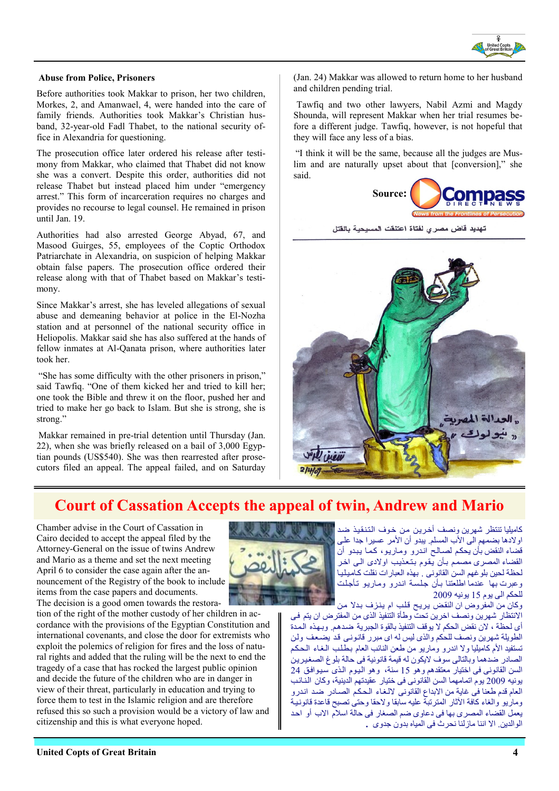

#### Abuse from Police, Prisoners

Before authorities took Makkar to prison, her two children, Morkes, 2, and Amanwael, 4, were handed into the care of family friends. Authorities took Makkar's Christian husband, 32-year-old Fadl Thabet, to the national security office in Alexandria for questioning.

The prosecution office later ordered his release after testimony from Makkar, who claimed that Thabet did not know she was a convert. Despite this order, authorities did not release Thabet but instead placed him under "emergency arrest." This form of incarceration requires no charges and provides no recourse to legal counsel. He remained in prison until Jan. 19.

Authorities had also arrested George Abyad, 67, and Masood Guirges, 55, employees of the Coptic Orthodox Patriarchate in Alexandria, on suspicion of helping Makkar obtain false papers. The prosecution office ordered their release along with that of Thabet based on Makkar's testimony.

Since Makkar's arrest, she has leveled allegations of sexual abuse and demeaning behavior at police in the El-Nozha station and at personnel of the national security office in Heliopolis. Makkar said she has also suffered at the hands of fellow inmates at Al-Qanata prison, where authorities later took her.

"She has some difficulty with the other prisoners in prison," said Tawfiq. "One of them kicked her and tried to kill her; one took the Bible and threw it on the floor, pushed her and tried to make her go back to Islam. But she is strong, she is strong."

Makkar remained in pre-trial detention until Thursday (Jan. 22), when she was briefly released on a bail of 3,000 Egyptian pounds (US\$540). She was then rearrested after prosecutors filed an appeal. The appeal failed, and on Saturday (Jan. 24) Makkar was allowed to return home to her husband and children pending trial.

Tawfiq and two other lawyers, Nabil Azmi and Magdy Shounda, will represent Makkar when her trial resumes before a different judge. Tawfiq, however, is not hopeful that they will face any less of a bias.

"I think it will be the same, because all the judges are Muslim and are naturally upset about that [conversion]," she said.



تهديد قاض مصر ي لفتاة اعتنقت المسيحية بالفتل



### Court of Cassation Accepts the appeal of twin, Andrew and Mario

Chamber advise in the Court of Cassation in Cairo decided to accept the appeal filed by the Attorney-General on the issue of twins Andrew and Mario as a theme and set the next meeting April 6 to consider the case again after the announcement of the Registry of the book to include items from the case papers and documents. The decision is a good omen towards the restora-

tion of the right of the mother custody of her children in accordance with the provisions of the Egyptian Constitution and international covenants, and close the door for extremists who exploit the polemics of religion for fires and the loss of natural rights and added that the ruling will be the next to end the tragedy of a case that has rocked the largest public opinion and decide the future of the children who are in danger in view of their threat, particularly in education and trying to force them to test in the Islamic religion and are therefore refused this so such a provision would be a victory of law and



كاميليا تنتظر شهرين ونصف أخرين من خوف التنقيذ ض اولادها بضمهم الى الأب المسلم. يبدو أن الأمر عسيرا جدا علـ قصاء النقض بأن يحكم لصىالح اندرو وماريو، كما يبدو أن القضاء المصري مصمم بأن يقوم بتعذيب اولادي الى اخر لحظة لحين بلو غهم السن القانوني . بهذه العبارات نقلت كاميليا وعبرت بها ً عندما اطلعتنا بـأنّ جلسة انـدروً ومـاريـو تـأجلت  $2009$  الحكم الى بوم 15 بونيه

وكان من المفروض ان النقض يريح قلب ام ينزف بدلا من

الانتظار شهرين ونصف اخرين تحت وطأة التنفيذ الذي من المفترض ان يتم في أي لحظة ، لأن نقص الحكم لا يوقف التنفيذ بالقوة الجبرية صدهم. وبـهذه الـمدة الطويلة شهرين ونصف للحكم والذي ليس له اي مبر ر قانونبي قد يضعف ولن تستفيد الأم كاميليا ولا اندرو وماريو من طعن النائب العام بطلب الـغـاء الـحكم الصادر ضدهما وبالتالي سوف لايكون له قيمة قانونية في حالة بلوغ الصغيرين السن القانوني في اختيار معتقدهم وهو 15 سنة، وهو اليوم الذي سيوافق 24 يونيه 2009 يوم اتمامهما السن القانوني في ختيار عقيدتهم الدينية، وكان النـائب العام قدم طعنا في غاية من الابداع القانوني لالغاء الحكم الصبادر ضد اندرو وماريو والغاء كافة الأثار المترتبة عليه سابقا ولاحقا وحتى تصبح قاعدة قانونية يعمل القضاء المصري بها في دعاوى ضم الصغار في حالة اسلام الاب أو احد الو الدين. الا اننا مازلنا نحرث في المياه بدون جدوى .

citizenship and this is what everyone hoped.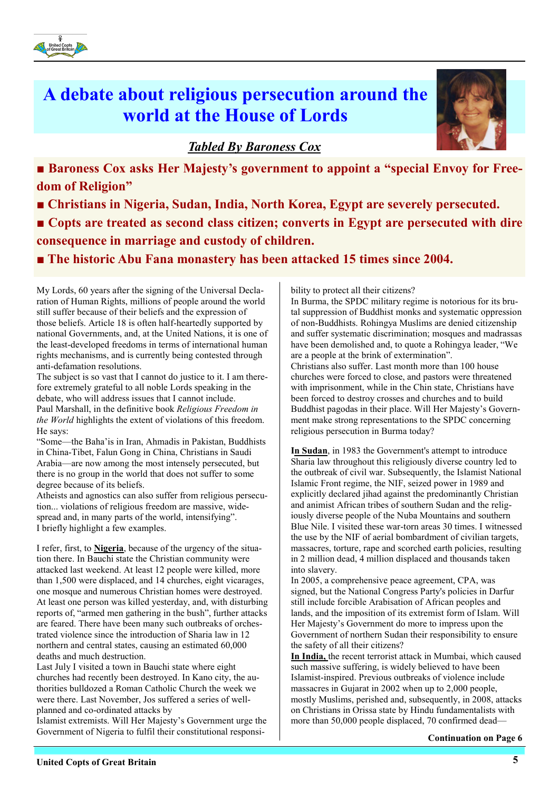

## A debate about religious persecution around the world at the House of Lords



Tabled By Baroness Cox

■ Baroness Cox asks Her Majesty's government to appoint a "special Envoy for Freedom of Religion"

■ Christians in Nigeria, Sudan, India, North Korea, Egypt are severely persecuted.

■ Copts are treated as second class citizen; converts in Egypt are persecuted with dire consequence in marriage and custody of children.

■ The historic Abu Fana monastery has been attacked 15 times since 2004.

My Lords, 60 years after the signing of the Universal Declaration of Human Rights, millions of people around the world still suffer because of their beliefs and the expression of those beliefs. Article 18 is often half-heartedly supported by national Governments, and, at the United Nations, it is one of the least-developed freedoms in terms of international human rights mechanisms, and is currently being contested through anti-defamation resolutions.

The subject is so vast that I cannot do justice to it. I am therefore extremely grateful to all noble Lords speaking in the debate, who will address issues that I cannot include. Paul Marshall, in the definitive book Religious Freedom in the World highlights the extent of violations of this freedom. He says:

"Some—the Baha'is in Iran, Ahmadis in Pakistan, Buddhists in China-Tibet, Falun Gong in China, Christians in Saudi Arabia—are now among the most intensely persecuted, but there is no group in the world that does not suffer to some degree because of its beliefs.

Atheists and agnostics can also suffer from religious persecution... violations of religious freedom are massive, widespread and, in many parts of the world, intensifying". I briefly highlight a few examples.

I refer, first, to Nigeria, because of the urgency of the situation there. In Bauchi state the Christian community were attacked last weekend. At least 12 people were killed, more than 1,500 were displaced, and 14 churches, eight vicarages, one mosque and numerous Christian homes were destroyed. At least one person was killed yesterday, and, with disturbing reports of, "armed men gathering in the bush", further attacks are feared. There have been many such outbreaks of orchestrated violence since the introduction of Sharia law in 12 northern and central states, causing an estimated 60,000 deaths and much destruction.

Last July I visited a town in Bauchi state where eight churches had recently been destroyed. In Kano city, the authorities bulldozed a Roman Catholic Church the week we were there. Last November, Jos suffered a series of wellplanned and co-ordinated attacks by

Islamist extremists. Will Her Majesty's Government urge the Government of Nigeria to fulfil their constitutional responsibility to protect all their citizens?

In Burma, the SPDC military regime is notorious for its brutal suppression of Buddhist monks and systematic oppression of non-Buddhists. Rohingya Muslims are denied citizenship and suffer systematic discrimination; mosques and madrassas have been demolished and, to quote a Rohingya leader, "We are a people at the brink of extermination".

Christians also suffer. Last month more than 100 house churches were forced to close, and pastors were threatened with imprisonment, while in the Chin state, Christians have been forced to destroy crosses and churches and to build Buddhist pagodas in their place. Will Her Majesty's Government make strong representations to the SPDC concerning religious persecution in Burma today?

In Sudan, in 1983 the Government's attempt to introduce Sharia law throughout this religiously diverse country led to the outbreak of civil war. Subsequently, the Islamist National Islamic Front regime, the NIF, seized power in 1989 and explicitly declared jihad against the predominantly Christian and animist African tribes of southern Sudan and the religiously diverse people of the Nuba Mountains and southern Blue Nile. I visited these war-torn areas 30 times. I witnessed the use by the NIF of aerial bombardment of civilian targets, massacres, torture, rape and scorched earth policies, resulting in 2 million dead, 4 million displaced and thousands taken into slavery.

In 2005, a comprehensive peace agreement, CPA, was signed, but the National Congress Party's policies in Darfur still include forcible Arabisation of African peoples and lands, and the imposition of its extremist form of Islam. Will Her Majesty's Government do more to impress upon the Government of northern Sudan their responsibility to ensure the safety of all their citizens?

In India, the recent terrorist attack in Mumbai, which caused such massive suffering, is widely believed to have been Islamist-inspired. Previous outbreaks of violence include massacres in Gujarat in 2002 when up to 2,000 people, mostly Muslims, perished and, subsequently, in 2008, attacks on Christians in Orissa state by Hindu fundamentalists with more than 50,000 people displaced, 70 confirmed dead—

Continuation on Page 6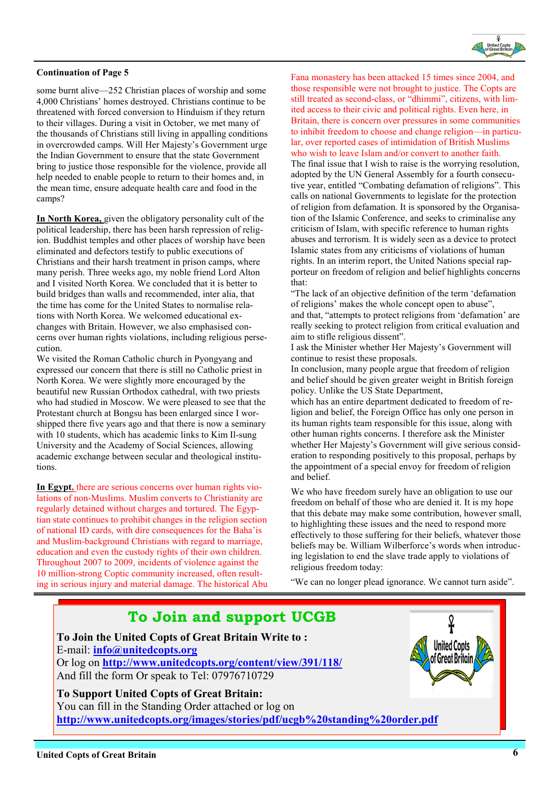

#### Continuation of Page 5

some burnt alive—252 Christian places of worship and some 4,000 Christians' homes destroyed. Christians continue to be threatened with forced conversion to Hinduism if they return to their villages. During a visit in October, we met many of the thousands of Christians still living in appalling conditions in overcrowded camps. Will Her Majesty's Government urge the Indian Government to ensure that the state Government bring to justice those responsible for the violence, provide all help needed to enable people to return to their homes and, in the mean time, ensure adequate health care and food in the camps?

In North Korea, given the obligatory personality cult of the political leadership, there has been harsh repression of religion. Buddhist temples and other places of worship have been eliminated and defectors testify to public executions of Christians and their harsh treatment in prison camps, where many perish. Three weeks ago, my noble friend Lord Alton and I visited North Korea. We concluded that it is better to build bridges than walls and recommended, inter alia, that the time has come for the United States to normalise relations with North Korea. We welcomed educational exchanges with Britain. However, we also emphasised concerns over human rights violations, including religious persecution.

We visited the Roman Catholic church in Pyongyang and expressed our concern that there is still no Catholic priest in North Korea. We were slightly more encouraged by the beautiful new Russian Orthodox cathedral, with two priests who had studied in Moscow. We were pleased to see that the Protestant church at Bongsu has been enlarged since I worshipped there five years ago and that there is now a seminary with 10 students, which has academic links to Kim Il-sung University and the Academy of Social Sciences, allowing academic exchange between secular and theological institutions.

In Egypt, there are serious concerns over human rights violations of non-Muslims. Muslim converts to Christianity are regularly detained without charges and tortured. The Egyptian state continues to prohibit changes in the religion section of national ID cards, with dire consequences for the Baha'is and Muslim-background Christians with regard to marriage, education and even the custody rights of their own children. Throughout 2007 to 2009, incidents of violence against the 10 million-strong Coptic community increased, often resulting in serious injury and material damage. The historical Abu Fana monastery has been attacked 15 times since 2004, and those responsible were not brought to justice. The Copts are still treated as second-class, or "dhimmi", citizens, with limited access to their civic and political rights. Even here, in Britain, there is concern over pressures in some communities to inhibit freedom to choose and change religion—in particular, over reported cases of intimidation of British Muslims who wish to leave Islam and/or convert to another faith. The final issue that I wish to raise is the worrying resolution, adopted by the UN General Assembly for a fourth consecutive year, entitled "Combating defamation of religions". This calls on national Governments to legislate for the protection of religion from defamation. It is sponsored by the Organisation of the Islamic Conference, and seeks to criminalise any criticism of Islam, with specific reference to human rights abuses and terrorism. It is widely seen as a device to protect

Islamic states from any criticisms of violations of human rights. In an interim report, the United Nations special rapporteur on freedom of religion and belief highlights concerns that:

"The lack of an objective definition of the term 'defamation of religions' makes the whole concept open to abuse", and that, "attempts to protect religions from 'defamation' are really seeking to protect religion from critical evaluation and aim to stifle religious dissent".

I ask the Minister whether Her Majesty's Government will continue to resist these proposals.

In conclusion, many people argue that freedom of religion and belief should be given greater weight in British foreign policy. Unlike the US State Department,

which has an entire department dedicated to freedom of religion and belief, the Foreign Office has only one person in its human rights team responsible for this issue, along with other human rights concerns. I therefore ask the Minister whether Her Majesty's Government will give serious consideration to responding positively to this proposal, perhaps by the appointment of a special envoy for freedom of religion and belief.

We who have freedom surely have an obligation to use our freedom on behalf of those who are denied it. It is my hope that this debate may make some contribution, however small, to highlighting these issues and the need to respond more effectively to those suffering for their beliefs, whatever those beliefs may be. William Wilberforce's words when introducing legislation to end the slave trade apply to violations of religious freedom today:

"We can no longer plead ignorance. We cannot turn aside".

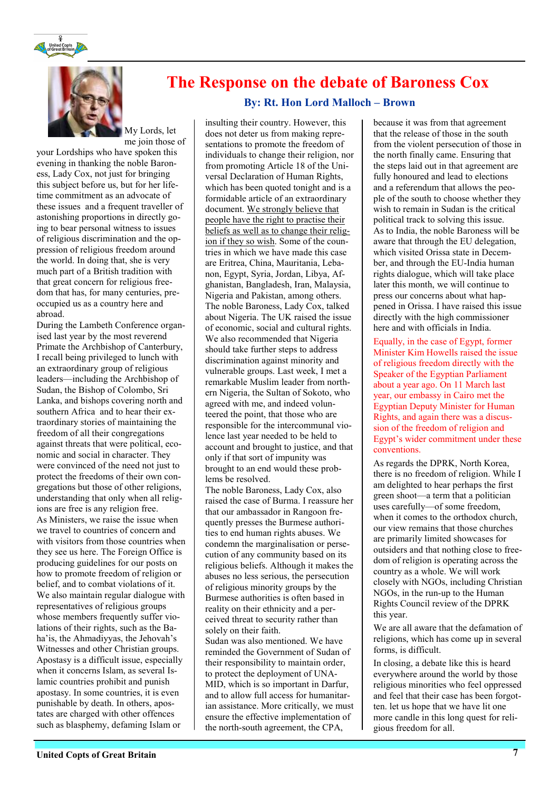



My Lords, let me join those of

your Lordships who have spoken this evening in thanking the noble Baroness, Lady Cox, not just for bringing this subject before us, but for her lifetime commitment as an advocate of these issues and a frequent traveller of astonishing proportions in directly going to bear personal witness to issues of religious discrimination and the oppression of religious freedom around the world. In doing that, she is very much part of a British tradition with that great concern for religious freedom that has, for many centuries, preoccupied us as a country here and abroad.

During the Lambeth Conference organised last year by the most reverend Primate the Archbishop of Canterbury, I recall being privileged to lunch with an extraordinary group of religious leaders—including the Archbishop of Sudan, the Bishop of Colombo, Sri Lanka, and bishops covering north and southern Africa and to hear their extraordinary stories of maintaining the freedom of all their congregations against threats that were political, economic and social in character. They were convinced of the need not just to protect the freedoms of their own congregations but those of other religions, understanding that only when all religions are free is any religion free. As Ministers, we raise the issue when we travel to countries of concern and with visitors from those countries when they see us here. The Foreign Office is producing guidelines for our posts on how to promote freedom of religion or belief, and to combat violations of it. We also maintain regular dialogue with representatives of religious groups whose members frequently suffer violations of their rights, such as the Baha'is, the Ahmadiyyas, the Jehovah's Witnesses and other Christian groups. Apostasy is a difficult issue, especially when it concerns Islam, as several Islamic countries prohibit and punish apostasy. In some countries, it is even punishable by death. In others, apostates are charged with other offences such as blasphemy, defaming Islam or

## The Response on the debate of Baroness Cox

#### By: Rt. Hon Lord Malloch – Brown

insulting their country. However, this does not deter us from making representations to promote the freedom of individuals to change their religion, nor from promoting Article 18 of the Universal Declaration of Human Rights, which has been quoted tonight and is a formidable article of an extraordinary document. We strongly believe that people have the right to practise their beliefs as well as to change their religion if they so wish. Some of the countries in which we have made this case are Eritrea, China, Mauritania, Lebanon, Egypt, Syria, Jordan, Libya, Afghanistan, Bangladesh, Iran, Malaysia, Nigeria and Pakistan, among others. The noble Baroness, Lady Cox, talked about Nigeria. The UK raised the issue of economic, social and cultural rights. We also recommended that Nigeria should take further steps to address discrimination against minority and vulnerable groups. Last week, I met a remarkable Muslim leader from northern Nigeria, the Sultan of Sokoto, who agreed with me, and indeed volunteered the point, that those who are responsible for the intercommunal violence last year needed to be held to account and brought to justice, and that only if that sort of impunity was brought to an end would these problems be resolved.

The noble Baroness, Lady Cox, also raised the case of Burma. I reassure her that our ambassador in Rangoon frequently presses the Burmese authorities to end human rights abuses. We condemn the marginalisation or persecution of any community based on its religious beliefs. Although it makes the abuses no less serious, the persecution of religious minority groups by the Burmese authorities is often based in reality on their ethnicity and a perceived threat to security rather than solely on their faith. Sudan was also mentioned. We have reminded the Government of Sudan of their responsibility to maintain order, to protect the deployment of UNA-MID, which is so important in Darfur, and to allow full access for humanitarian assistance. More critically, we must ensure the effective implementation of

the north-south agreement, the CPA,

because it was from that agreement that the release of those in the south from the violent persecution of those in the north finally came. Ensuring that the steps laid out in that agreement are fully honoured and lead to elections and a referendum that allows the people of the south to choose whether they wish to remain in Sudan is the critical political track to solving this issue. As to India, the noble Baroness will be aware that through the EU delegation, which visited Orissa state in December, and through the EU-India human rights dialogue, which will take place later this month, we will continue to press our concerns about what happened in Orissa. I have raised this issue directly with the high commissioner here and with officials in India.

Equally, in the case of Egypt, former Minister Kim Howells raised the issue of religious freedom directly with the Speaker of the Egyptian Parliament about a year ago. On 11 March last year, our embassy in Cairo met the Egyptian Deputy Minister for Human Rights, and again there was a discussion of the freedom of religion and Egypt's wider commitment under these conventions.

As regards the DPRK, North Korea, there is no freedom of religion. While I am delighted to hear perhaps the first green shoot—a term that a politician uses carefully—of some freedom, when it comes to the orthodox church. our view remains that those churches are primarily limited showcases for outsiders and that nothing close to freedom of religion is operating across the country as a whole. We will work closely with NGOs, including Christian NGOs, in the run-up to the Human Rights Council review of the DPRK this year.

We are all aware that the defamation of religions, which has come up in several forms, is difficult.

In closing, a debate like this is heard everywhere around the world by those religious minorities who feel oppressed and feel that their case has been forgotten. let us hope that we have lit one more candle in this long quest for religious freedom for all.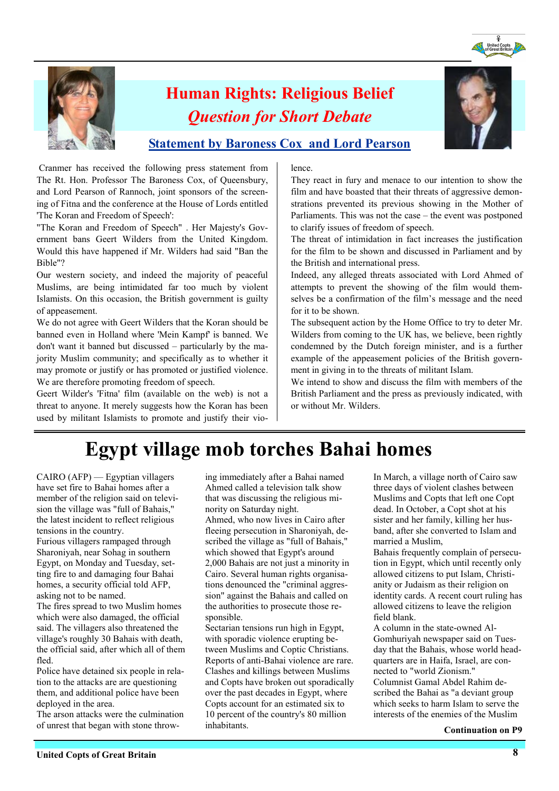

 Cranmer has received the following press statement from The Rt. Hon. Professor The Baroness Cox, of Queensbury, and Lord Pearson of Rannoch, joint sponsors of the screening of Fitna and the conference at the House of Lords entitled 'The Koran and Freedom of Speech':

"The Koran and Freedom of Speech" . Her Majesty's Government bans Geert Wilders from the United Kingdom. Would this have happened if Mr. Wilders had said "Ban the Bible"?

Our western society, and indeed the majority of peaceful Muslims, are being intimidated far too much by violent Islamists. On this occasion, the British government is guilty of appeasement.

We do not agree with Geert Wilders that the Koran should be banned even in Holland where 'Mein Kampf' is banned. We don't want it banned but discussed – particularly by the majority Muslim community; and specifically as to whether it may promote or justify or has promoted or justified violence. We are therefore promoting freedom of speech.

Geert Wilder's 'Fitna' film (available on the web) is not a threat to anyone. It merely suggests how the Koran has been used by militant Islamists to promote and justify their violence.

They react in fury and menace to our intention to show the film and have boasted that their threats of aggressive demonstrations prevented its previous showing in the Mother of Parliaments. This was not the case – the event was postponed to clarify issues of freedom of speech.

The threat of intimidation in fact increases the justification for the film to be shown and discussed in Parliament and by the British and international press.

Indeed, any alleged threats associated with Lord Ahmed of attempts to prevent the showing of the film would themselves be a confirmation of the film's message and the need for it to be shown.

The subsequent action by the Home Office to try to deter Mr. Wilders from coming to the UK has, we believe, been rightly condemned by the Dutch foreign minister, and is a further example of the appeasement policies of the British government in giving in to the threats of militant Islam.

We intend to show and discuss the film with members of the British Parliament and the press as previously indicated, with or without Mr. Wilders.

# Egypt village mob torches Bahai homes

CAIRO (AFP) — Egyptian villagers have set fire to Bahai homes after a member of the religion said on television the village was "full of Bahais," the latest incident to reflect religious tensions in the country.

Furious villagers rampaged through Sharoniyah, near Sohag in southern Egypt, on Monday and Tuesday, setting fire to and damaging four Bahai homes, a security official told AFP, asking not to be named.

The fires spread to two Muslim homes which were also damaged, the official said. The villagers also threatened the village's roughly 30 Bahais with death, the official said, after which all of them fled.

Police have detained six people in relation to the attacks are are questioning them, and additional police have been deployed in the area.

The arson attacks were the culmination of unrest that began with stone throwing immediately after a Bahai named Ahmed called a television talk show that was discussing the religious minority on Saturday night.

Ahmed, who now lives in Cairo after fleeing persecution in Sharoniyah, described the village as "full of Bahais," which showed that Egypt's around 2,000 Bahais are not just a minority in Cairo. Several human rights organisations denounced the "criminal aggression" against the Bahais and called on the authorities to prosecute those responsible.

Sectarian tensions run high in Egypt, with sporadic violence erupting between Muslims and Coptic Christians. Reports of anti-Bahai violence are rare. Clashes and killings between Muslims and Copts have broken out sporadically over the past decades in Egypt, where Copts account for an estimated six to 10 percent of the country's 80 million inhabitants.

In March, a village north of Cairo saw three days of violent clashes between Muslims and Copts that left one Copt dead. In October, a Copt shot at his sister and her family, killing her husband, after she converted to Islam and married a Muslim,

Bahais frequently complain of persecution in Egypt, which until recently only allowed citizens to put Islam, Christianity or Judaism as their religion on identity cards. A recent court ruling has allowed citizens to leave the religion field blank.

A column in the state-owned Al-Gomhuriyah newspaper said on Tuesday that the Bahais, whose world headquarters are in Haifa, Israel, are connected to "world Zionism."

Columnist Gamal Abdel Rahim described the Bahai as "a deviant group which seeks to harm Islam to serve the interests of the enemies of the Muslim

Continuation on P9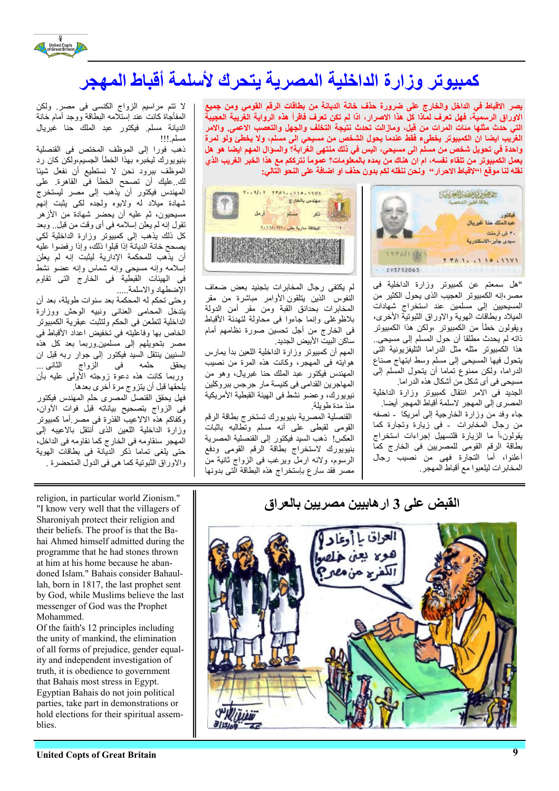

# كمبيوتر وزارة الداخلية المصرية يتحرك لأسلمة أقباط المهجر

يصر الاقباط في الداخل والخارج على ضرورة حذف خانة الديانة من بطاقات الرقم القومي ومن جميع الاوراق الرسميَّة، فهل تعرف لماذا كلِّ هذا الاصرار، اذا لم تكن تعرف فاقرأ هذه الرواية الغريبة العجيبة التي حدث مثلها منات المرات من قبل، ومازالت تحدث نتيجة التخلف والجهل والتعصب الاعمى. والامر الغرِّيب ايضا ان الكمبيوتر يخطىء فقط عندماً يحول الشخص من مسيحى الى مسلم، ولا يخطئ ولو لمرة واحدَةً في تحويل شخصٌ من مسلّم الى مسيحي، اليس في ذلك منتهى الغرابة؟ والسوال المهم ايضاً هو هل<br>يعمل الكمبيوتر من تلقاء نفسه، ام ان هناك من يمده بالمعلومات؟ عموماً نترككم مع هذا الخبر الغريب الذي نقله لنا موقع ا"لاقباط الاحرار" ۖ ونحن ننقله لكم بدون حذف او اضافة على النحو التالي:



"هل سمعتم عن كمبيوتر وزارة الداخلية في مصر،إنه الكمبيوتر العجيب الذي يحول الكثير من المسيحيين إلى مسلمين عند استخراج شهادات الميلاد وبطاقات الهوية والاوراق الثبونية الأخرى، ويقولون خطأ من الكمبيوتر ،ولكن هذا الكمبيوتر ذاته لم يحدث مطلقا أن حول المسلم إلى مسيحي. هذا الكمبيوتر مثله مثل الدراما التليفزيونية التى يتحول فيها المسيحى إلى مسلم وسط ابتهاج صناع الدراما، ولكن ممنوع تماما أن يتحول المسلم إلى مسيحي في أي شكل من أشكال هذه الدر اما. الجديد في الامر انتقال كمبيوتر وزارة الداخلية المصرى إلى المهجر لاسلمة أقباط المهجر أيضا. جاء وفد من وزارة الخارجية إلى أمريكا ـ نصفه من رجال المخابرات - في زيارة وتجارة كما يقولون،أ ما الزيارة فلتسهيل إجراءات استخراج بطاقة الرقم القومي للمصريين في الخارج كما أعلنوا، أما التجارة فهي من نصيب رجال

المخابر ات ليلعبو ا مع أقباط المهجر .



 $T = 41.7 T T T + 110.110$ 

لم يكتفي رجال المخابرات بتجنيد بعض ضعاف الَّنْفُوس الَّذِين بِتَلْقُونَ الأَوامِرِ مِبِاشْرِ ةَ مِنْ مَقْرِ المخابرات بحدائق القبة ومن مقر أمن الدولة بلاظوغلى وإنما جاءوا في محاولة لتهدئة الأقباط في الخارج من أجل تحسين صورة نظامهم أمام ساكن البيت الأبيض الجديد

المهم أن كمبيوتر وزارة الداخلية اللعين بدأ يمارس هوايته في المهجر، وكانت هذه المرة من نصيب المهندس فيكتور عبد الملك حنا غبريال، وهو من المهاجرين القدامي في كنيسة مار جرجس ببروكلين نيويورك، وعضو نشط في الهيئة القبطية الأمريكية منذ مدة طويلة.

القنصلية المصرية بنيويورك تستخرج بطاقة الرقم القومي لقبطي على أنه مسلم وتطالبه باثبات العكس! ذهب السيد فيكتور إلى القنصلية المصرية بنيويورك لاستخراج بطاقة الرقم القومى ودفع الرسوم، ولانه ارملَّ ويرغب في الزواج ثانية منَّ مصر فقد سارع بإستخراج هذه البطاقة التي بدونها

لا نتم مراسيم الزواج الكنسي في مصرٍ ولكن المفأجاة كآنت عند إستلامه البطاقة ووجد أمام خانة الديانة مسلم فيكتور عبد الملك حنا غبريال مسلم !!!

ذهب فورا إلى الموظف المختص في القنصلية بنيويور ك ليخبر ه بهذا الخطأ الجسيم،ولكن كان رد الموظف ببرود نحن لا نستطيع أن نفعل شيئا لك عليك أن تصحح الخطأ في القاهرة. على المهندس فيكتور أن يذهب إلى مصر ليستخرج شهادة ميلاد له ولابوه ولجده لكي يثبت إنهمّ مسْيِحيون، ثم عليه أن يحضر شهادة من الأزهر تقول إنه لم يعلن إسلامه في أي وقت من قبل وبعد كل ذلك يذهب إلى كمبيوتر وزارة الداخلية لكي يصحح خانة الديانة إذا قبلوا ذلك، وإذا رفضوا عليه أن يذهب للمحكمة الإدارية ليثبت إنه لم يعلن إسلامه وإنه مسيحى وإنه شماس وإنه عضو نشط فَى الْهِيئَات القبطية في الخارج التي تقاوم الإضطهاد والاسلمة.....

وحتى تحكم له المحكمة بعد سنوات طويلة، بعد أن يتدخل المحامى العنانى ونبيه الوحش ووزارة الداخلية لتطعن في الحكم ولتثبت عبقرية الكمبيوتر الخاص بها وفاعليته في تخفيض اعداد الأقباط في مصر بتحويلهم إلى مسلمين وربما بعد كل هذه السنيين ينتقل السيد فيكتور إلى جوار ربه قبل ان يحقق حلمه في الزواج الثاني... وربما كانت هذه دعوة زوجته الأولى عليه بأن يلحقها قبل أن يتزوج مرة أخرى بعدها ِ

فهل يحقق القنصل المصرى حلم المهندس فيكتور في الزواج بتصحيح بياناته قبل فوات الأوان، وكفاكم هذه الالاعيب القذرة في مصر أما كمبيوتر وزارة الداخلية اللعين الذي أنتقل بالاعيبه إلى المهجر سنقاومه في الخارج كما نقاومه في الداخل، حتى بلغى تماما ذكر الديانة في بطاقات الهوية والاوراق الثبوتية كما هي في الدول المتحضر ة

القبض على 3 ار هابيين مصريين بالعراق



religion, in particular world Zionism." "I know very well that the villagers of Sharoniyah protect their religion and their beliefs. The proof is that the Bahai Ahmed himself admitted during the programme that he had stones thrown at him at his home because he abandoned Islam." Bahais consider Bahaullah, born in 1817, the last prophet sent by God, while Muslims believe the last messenger of God was the Prophet Mohammed.

Of the faith's 12 principles including the unity of mankind, the elimination of all forms of prejudice, gender equality and independent investigation of truth, it is obedience to government that Bahais most stress in Egypt. Egyptian Bahais do not join political parties, take part in demonstrations or hold elections for their spiritual assemblies.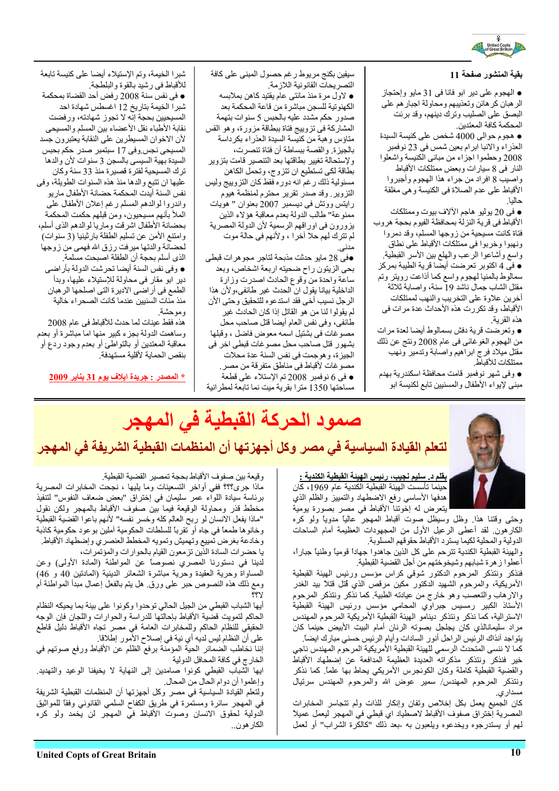

#### بقية المنشور صفحة 11

● المهجوم على دير ابو فانا في 31 مايو وإحتجاز الرهبان كرهائن وتعذيبهم ومحاولة اجبارهم على البصق على الصليب وترك دينهم، وقد برئت المحكمة كافة المعتدين

● هجوم حوالي 4000 شخص على كنيسة السيدة العذراء والانبا ابرام بعين شمس في 23 نوفمبر 2008 وحطموا اجزاء من مباني الكنيسة واشعلوا النار في 8 سيارات وبعض ممتلكات الأقباط واصيب 8 افراد من جراء هذا المجوم وأجبروا الأقباط على عدم الصلاة في الكنيسة وهي مغلقة حاليا

● في 20 يوليو هاجم الألاف بيوت وممتلكات الأقباط في قرية النزلة بمحافظة الفيوم بحجة هروب فتاة كانت مسيحية من زوجها المسلم، وقد دمروا ونهبوا وخربوا في ممتلكات الأقباط على نطاق واسع وأشاعوا الرعب والهلع بين الأسر القبطية ● في 4 اكتوبر تعرضت أيضا قرية الطيبة بمركز سمالوط بالمنيا لهجوم واسع كما أذاعت رويتر وتم مقتل الشاب جمال ناشد 19 سنة، واصابة ثلاثة أخرين علاوة على التخريب والنهب لممتلكات الأقباط، وقد تكررت هذه الأحداث عدة مرات في هذه القرية.

● وتعرضت قرية دفش بسمالوط أيضا لعدة مرات من المهجوم الغوغائي في عام 2008 ونتج عن ذلك مقتل ميلاد فرج ابراهيم واصىابة وتدمير ونهب ممتلكات للأقناط

● وفي شهر نوفمبر قامت محافظة اسكندرية بهدم مبنى لإيواء الأطفال والمسنيين تابع لكنيسة ابو

سيفين بكنج مريوط رغم حصول المبنى على كافة التصريحات القانونية اللازمة

● لاول مرة منذ مائتـي عام يقتيد كـاهن بملابسه الكهنوتية للسجن مباشرة من قاعة المحكمة بعد صدور حكم مشدد عليه بالحبس 5 سنوات بتهمة المشاركة في تزوييج فتاة ببطاقة مزورة، وهو القس متاؤس وهبة من كنيسة السيدة العذراء بكرداسة بالجيزة والقصة ببساطة أن فتاة تنصرت، ولإستحالة تغيير بطاقتها بعد التنصير قامت بتزوير بطاقة لكي تستطيع ان تتزوج، وتحمل الكاهن مسئولية ذلك رغم انه دوره فقط كان التزوييج وليس التزوير وقد صدر تقرير محترم لمنظمة هيوم رايتس ووتش في ديسمبر 2007 بعنوان " هويات مُمنوعة" طالب الدولة بعدم معاقبة هؤلاء الذين يزورون في اوراقهم الرسمية لأن الدولة المصرية لم تترك لهم حلا أخرا ، ولأنهم في حالة موت

●في 28 مايو حدثت مذبحة لتاجر مجوهرات قبطي بحي الزيتون راح ضحيته اربعة اشخاص، وبعد ساعة واحدة من وقوع الحادث اصدرت وزارة الداخلية بيانا يقول ان الحدث غير طائفي،ولأن هذا الرجل نسيب أخي فقد استدعوه للتحقيق وحتى الأن لم يقولوا لنا من هو القاتل إذا كان الحادث غير طَائفي، وفي نفس العام أيضا قتل صاحب محل مصوغات في بشتيل اسمه معوض فاضل ، وقبلها بشهور قتل صاحب محل مصوغات قبطي اخر في الجيز ة، و هو جمت في نفس السنة عدة محلات مصوغات لأقباط في مناطق متفرقة من مصر ● في 6 نوفمبر 2008 تم الإستلاء على قطعة مساحتها 1350 مترا بقرية ميت نما تابعة لمطر انية

شبرا الخيمة، وتم الإستيلاء أيضا على كنيسة تابعة للأقباط في رشيد بالقوة والبلطجة. ● في نفس سنة 2008 رفض أحد القضاة بمحكمة شبرا الخيمة بتاريخ 12 اغسطس شهادة احد المسيحيين بحجة إنه لا تجوز شهادته، ورفضت نقابة الأطباء نقل الأعضاء بين المسلم والمسيحى لأن الاخوان المسيطرين على النقابة يعتبرون جسد المسيحي نجس وفي 17 سبتمبر صدر حكم بحبس السيدة بهية السيسى بالسجن 3 سنوات لأن والدها ترك المسيحية لفترة قصيرة منذ 33 سنة وكان عليها ان تتبع والدها منذ هذه السنوات الطويلة، وفي نفس السنة أيدت المحكمة حضانة الأطفال ماريو واندروا لوالدهم المسلم رغم إعلان الأطفال على الملأ بأنهم مسيحيون، ومن قبلهم حكمت المحكمة بحضانة الأطفال اشرقت وماريا لوالدهم الذي أسلم، وامتنع الأمن عن تسليم الطفلة بارثينيا (3 سنوات) لحضانة والدتها ميرفت رزق الله فهمى من زوجها الذي أسلم بحجة أن الطفلة اصبحت مسلمة.

● وفي نفس السنة أيضا تحرشت الدولة بأراضي دير ابو مقار في محاولة للإستيلاء عليها، وبدأ الطمع في أراضي الاديرة التي اصلحها الرهبان منذ مئات السنبين عندما كانت الصحراء خالية وموحشة

هذه فقط عينات لما حدث للأقباط في عام 2008 وساهمت الدولة بجزء كبير منها اما مباشرة أو بعدم معاقبة المعتدين أو بالتواطئ أو بعدم وجود ردع أو بنقص الحماية لأقلية مستهدفة

\* المصدر: جريدة ايلاف يوم 31 يناير 2009



# صمود الحركة القبطية فى المهجر

لتعلم القيادة السياسية ف*ي* مصر وكل أجهزتها أن المنظمات القبطية الشريفة ف*ي* المهجر

<mark>بقلم د. سليم نجيب، رئيس الهيئة القبطية الكند</mark>ية : حينما تأسست الهيئة القبطية الكندية عام 1969، كان هدفها الأساسى رفع الاضطهاد والتمييز والظلم الذي ابتعرض له إخْوننا الأقباط في مصر بصورة بومية

وحتى وقتنا هذا وظل وسيظل صوت أقباط المهجر عالياً مدوياً ولو كره الكار هون لقد أعطى الرعيل الأول من المجهودات العظيمة أمام الساحات الدولية والمحلية لكيما يسترد الأقباط حقوقهم المسلوبة

والهيئة القبطية الكندية تترحم على كل الذين جاهدوا جهادأ قومياً وطنياً جباراً، أعطوا زهرة شبابهم وشيخوختهم من أجل القضية القبطية.

فنذكر ونتذكر المرحوم الدكتور شوقي كراس مؤسس ورئيس الهيئة القبطية الأمريكية، والمرحوم الشهيد الدكتور مكين مرقص الذي ڤُتل قُتلًا بيد الغدر والارهاب والتعصب وهو خارج من عيادته الطبية كما نذكر ونتذكر المرحوم الأستاذ الكبير رمسيس جبراوي المحامي مؤسس ورئيس الهيئة القبطية الاسترالية، كما نذكر ونتذكر دينامو الهيئة القبطية الأمريكية المرحوم المهندس مراد سليمانالذي كان يجلجل بصوته الرنان أمام البيت الأبيض حينما كان يتواجد أنذاك الرئيس الراحل أنور السادات وأيام الرئيس حسنى مبارك ايضاً.

كما لا ننسى المتحدث الرسمي للهيئة القبطية الأمريكية المرحوم المهندس ناجي خير فنذكر ونتذكر مذكراته العديدة العظيمة المدافعة عن إضطهاد الأقباط والقضية القبطية كاملة وكان الكونجرس الأمريكي يحاط بها علماً كما نذكر ونتذكر المرحوم المهندس/ سمير عوض الله والمرحوم المهندس سرتيال مسدار ي.

كان الجميع يعمل بكل إخلاص ونفان وإنكار للذات ولم تتجاسر المخابرات المصرية إختراق صفوف الأقباط لاصطباد اي قبطي في المهجر ليعمل عميلاً لمهم أو يستدرجوه ويخدعوه ويلعبون به -بعد ذلك "كالكرة الشراب" أو لعمل

وقيعة بين صفوف الأقباط بحجة تمصير القضية القبطية

ماذا جرى؟؟؟ ففي أواخر التسعينات وما يليها ، نجحت المخابرات المصرية برئاسة سيادة اللواء عمر سليمان في إختراق "بعض ضعاف النفوس" لتنفيذ مخطط قذر ومحاولة الوقيعة فيما بَين صفوف الأقباط بالمهجر ولكن نقول "ماذا يفعل الانسان لو ربح العالم كله وخسر نفسه" لأنهم باعوا القضية القبطية وخانوها طمعاً في جاه أو تقرباً للسلطات الحكومية أملين بوعود حكومية كاذبة وخادعة بغرض تمييع وتهميش وتمويه المخطط العنصري وإضطهاد الأقباط يا حضرات السادة الذين تزمعون القيام بالحوارات والمؤتمرات،

لدينا في دستورنا المصري نصوصاً عن المواطنة (المادة الأولى) وعن المساواة وحرية العقيدة وحرية مباشرة الشعائر الدينية (المادنين 40 و 46) ومع ذلك هذه النصوص حبر على ورق ٍ هل بتم بالفعل إعمال مبدأ المواطنة أم

أيها الشباب القبطي من الجيل الحالي توحدوا وكونوا على بينة بما يحيكه النظام الحاكم لتمويت قضية الأقباط بإحالتها للدراسة والحوارات واللجان فإن الوجه الحقيقي للنظام الحاكم وللمخابرات العامة في مصر نجاه الأقباط دليل قاطع على أن النظام ليس لديه أي نية في إصلاح الأمور إطلاقا.

إننا نخاطب الضمائر الحية المؤمنة برفع الظلم عن الأقباط ورفع صوتهم في الخارج في كافة المحافل الدولية

ايها الشباب القبطي كونوا صامدين إلى النهاية لا يخيفنا الوعيد والتهديد. وإعلموا أن دوام الحال من المحال.

ولنعلم القيادة السياسية فى مصر وكل أجهزتها أن المنظمات القبطية الشريفة في المهجر سائرة ومستمرة في طريق الكفاح السلمي القانوني وفقاً للمواثيق الدولية لحقوق الانسان وصوت الأقباط في المهجر لن يخمد ولو كره الكار هون..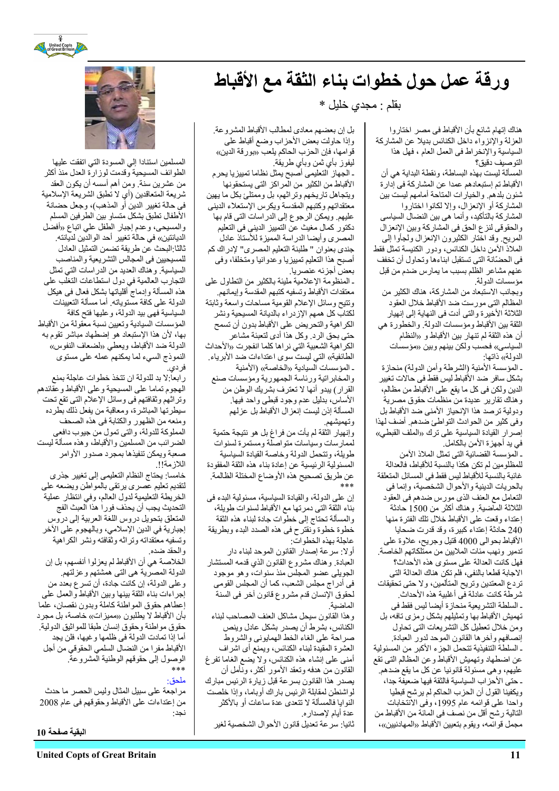

# ورقة عمل حول خطوات بناء الثقة مع الأقباط

بقلم : مجدي خليل \*

هناك إنهام شائع بأن الأقباط في مصر اختاروا العزلة والإنزواء داخل الكنائس بديلا عن المشاركة السياسية والإنخراط في العمل العام ، فهل هذا التوصيف دقيق؟

المسألة ليست بهذه البساطة، ونقطة البداية هي أن الأقباط تم إستبعادهم عمدا عن المشاركة في إدارة شئون بلدهم والخيارات المتاحة أمامهم ليست بين المشاركة أو الإنعزال، وإلا لكانوا اختاروا المشاركة بالتأكيد، وأنما هي بين النضال السياسي والحقوقي لنزع الحق في المشاركة وبين الإنعزال المريح وقد اختار الكثيرون الإنعزال ولجأوا إلى الملاذ الأمن داخل الكنائس، ودور الكنيسة تمثل فقط في الحضّانة الّتي تستقبل ابناءها وتحاول أن تخفف عنهم مشاعر الظلم بسبب ما يمارس ضدم من قبل مؤسسات الدولة

وبجانب الاستبعاد من المشاركة، هناك الكثير من المظالم التي مورست ضد الأقباط خلال العقود الثلاثة الأخيرة والتي أدت في النهاية إلى إنهيار الثقة بين الأقباط ومؤسسات الدولة. والخطورة هي أن هذه الثقة لم تنهار بين الأقباط و «النظام السياسي» فحسب ولكن بينهم وبين «مؤسسات الدولة» ذاتها:

ـ المؤسسة الأمنية (الشرطة وأمن الدولة) منحازة بشكل سافر ضد الأقباط ليس فقط في حالات تغيير الدين ولكن في كل ما يقع على الأقباط من مظالم، وهناك تقارير عديدة من منظمات حقوق مصرية ودولية ترصد هذا الإنحياز الأمنى ضد الأقباط بل وفي كثير من الحوادث التواطئ ضدهم فضف لهذا إصرار القيادة السياسية على ترك «الملف القبطي» في يد أجهز ة الأمن بالكامل.

ـ المؤسسة القضائية التي تمثل الملاذ الأمن للمظلومين لم تكن هكذا بالنسبة للأقباط، فالعدالة غائبة بالنسبة للأقباط ليس فقط في المسائل المتعلقة بالحريات الدينية والأحوال الشخصية، وإنما في التعامل مع العنف الذي مورس ضدهم في العقود الثلاثة الماضية. وهناك أكثر من 1500 حادثة إعتداء وقعت على الأقباط خلال نلك الفترة منها 240 حادثة إعتداء كبيرة، وقد قدرت ضحايا الأقباط بحوالبي 4000 قتيل وجريح، علاوة على تدمير ونهب مئات الملايين من ممتلكاتهم الخاصة. فهل كانت العدالة على مستوى هذه الأحداث؟ الاجابة قطعا بالنفي، فلم تكن هناك العدالة التي تردع المعتدين وتريح المتألمين، ولا حتى تحقيقات شَرِطَة كانت عادلة في أغلبية هذه الأحداث. ـ السلطة التشريعية منحازة أيضـا ليس فقط في تهميش الأقباط بها وتمثيلهم بشكل رمزي تافه، بل ومن خلال تعطيل كل التشريعات التي تحاول إنصافهم وأخرها القانون الموحد لدور العبادة ـ السلطة التنفيذية تتحمل الجزء الأكبر من المسئولية عن اضطهاد وتهميش الأقباط وعن المظالم التي تقع عليهم، و هي مسئولة قانونيا عن كل ما يقع ضدهم ِ ـ حتى الأحز اب السياسية فالثقة فيها ضعيفة جدا، ويكفينا القول أن الحزب الحاكم لم يرشح قبطيا واحدا على قوائمه عام 1995، وفي الانتخابات التالية رشح أقل من نصف في المائة من الأقباط من مجمل قوائمه، ويقوم بتعيين الأقباط «المهادنيين»،

بل إن بعضهم معادي لمطالب الأقباط المشروعة. وإذا حاولت بعض الأحزاب وضع أقباط على قوامها، فإن الحزب الحاكم يلعب «بورقة الدين» ليفوز بأي ثمن وبأي طريقة<sub>.</sub>

ـ الجهاز التعليمي أصبح يمثل نظاما تمييزيا يحرم الأقباط من الكثير من المراكز التي يستحقونها ويتجاهل تاريخهم وتر اثهم، بل وممتلئ بكل ما يهين معتقداتهم وكتبهم المقدسة ويكرس الإستعلاء الديني عليهم ويمكن الرجوع إلى الدراسات التي قام بها دكتور كمال مغيث عن التمييز الديني في التعليم المصرى وأيضا الدراسة المميزة للأستاذ عادل جندي بعنوان " طلبنة التعليم المصري" لإدراك كم أصبح هذا التعليم تمييزيا وعدوانيا ومتخلفا، وفي بعض أجزئه عنصريا

ـ المنظومة الإعلامية مليئة بالكثير من النطاول على معتقدات الأقباط وتسفيه كتبهم المقدسة وإيمانهم ونتيح وسائل الإعلام القومية مساحات واسعة وثابتة لكتاب كل همهم الإزدراء بالديانة المسيحية ونشر الكراهية والتحريض على الأقباط بدون أن تسمح حتى بحق الرد. وكل هذا أدى لتعبئة مشاعر الكراهية الشعبية التي نراها كلما انفجرت «الأحداث الطَّانفية» التـى ليستّ سوى اعتداءات ضد الأبرياء<sub>.</sub> ـ المؤسسات السيادية «الخاصـة»، (الأمنية والمخابراتية ورئاسة الجمهورية ومؤسسات صنع القرار) بيدو أنها لا تعترف بشريك الوطن من الأساس، بدليل عدم وجود قبطي واحد فيها. المسألة إذن ليست إنعز ال الأقباط بل عزلهم وتهميشهم

وإنهيار الثقة لم يأت من فراغ بل هو نتيجة حتمية لممارسات وسياسات متواصلة ومستمرة لسنوات طويلة، وتتحمل الدولة وخاصة القيادة السياسية المسئولية الرئيسية عن إعادة بناء هذه الثقة المفقودة عن طريق تصحيح هذه الأوضاع المختلة الظالمة

إن على الدولة، والقيادة السياسية، مسئولية البدء في بناء الثقة التي دمرتها مع الأقباط لسنوات طويلة، والمسألة نحناج إلى خطوات جادة لبناء هذه الثقة خطوة خطوة ونقترح في هذه الصدد البدء وبطريقة عاجلة بهذه الخطو ات:

أو لا: سرعة إصدار القانون الموحد لبناء دار العبادة وهناك مشروع القانون الذي قدمه المستشار الجويلي عضو المجلس منذ سنوات، وهو موجود في أدراج مجلِّس الشَّعب، كما أن المجلس القومي لحقوق الإنسان قدم مشروع قانون أخر في السنة الماضية

وهذا القانون سيحل مشاكل العنف المصاحب لبناء الكنائس، بشرط أن يصدر بشكل عادل وينص صراحة على الغاء الخط الهمايوني والشروط العشْرة المقيدة لبناء الكنائس، ويمنع أى اشراف أمنى على إنشاء هذه الكنائس، ولا يضع الغاما تفرغ القانون من هدفه وتعقد الأمور أكثر، ونأمل أن يصدر هذا القانون بسرعة قبل زيارة الرئيس مبارك لواشنطن لمقابلة الرئيس باراك أوباما، وإذا خلصت النوايا فالمسألة لا نتعدى عدة ساعات أو بالأكثر عدة أيام لإصدار ه.

ثانيا: سرعة تعديل قانون الأحوال الشخصية لغير



المسلمين استنادا إلى المسودة التي اتفقت عليها الطوائف المسيحية وقدمت لوزارة العدل منذ أكثر من عشرين سنة<sub>.</sub> ومن أهم أسسه أن يكون العقد شريعة المتعاقدين (أي لا تطبق الشريعة الإسلامية في حالة تغيير الدين أو المذهب)، وجعل حضانة الأطفال تطبق بشكل متساو بين الطرفين المسلم والمسيحي، وعدم إجبار الطفل على اتباع «أفضل الديانتين» في حالة تغيير أحد الوالدين لديانته<sub>.</sub> تالثا البحث عن طريقة تضمن التمثيل العادل للمسيحيين في المجالس التشريعية والمناصب السياسية وهناك العديد من الدراسات التي تمثل التجارب العالمية في دول استطاعات التغلب على هذه المسألة وإدماج أقلياتها بشكل فعال في هيكل الدولة على كافة مستوياته أما مسألة التعيينات السياسية فهي بيد الدولة، وعليها فتح كافة المؤسسات السيادية وتعيين نسبة معقولة من الأقباط بها، لأن هذا الإستبعاد هو إضطهاد مباشر نقوم به الدولة ضد الأقباط، ويعطي «لضعاف النفوس» النموذج السيء لما يمكنهم عمله على مستوى فردي

رابعاً:لا بد للدولة ان تتخذ خطوات عاجلة بمنع الهجوم تماما على المسيحية وعلى الأقباط وعقائدهم وتر اثهم وثقافتهم في وسائل الإعلام التي تقع تحت سيطرتها المباشرة، ومعاقبة من يفعل ذلك بطرده ومنعه من الظهور والكتابة في هذه الصحف المملوكة للدولة، والتي تمول من جيوب دافعي الضرائب من المسلمين والأقباط، وهذه مسألة ليست صعبة ويمكن تنفيذها بمجرد صدور الأوامر اللازمة!!.

خامسا: يحتاج النظام التعليمي إلى تغيير جذري لتقديم تعليم عصري يرتقي بالمواطن ويضعه على الخريطة التعليمية لدول العالم، وفي انتظار عملية التحديث يجب أن يحذف فور ا هذا العبث الفج المتعلق بتحويل دروس اللغة العربية إلى دروس إجبارية في الدين الإسلامي، وبالهجوم على الأخر وتسفيه معتقداته وتراثه وثقافته ونشر الكراهية و الحقد ضده

الخلاصة هي أن الأقباط لم يعزلوا أنفسهم، بل إن الدولة المصرية هي التي همشتهم وعزلتهم. وعلى الدولة، إن كانت جادة، أن تسرع بعدد من إجراءات بناء الثقة بينها وبين الأقباط والعمل على إعطاهم حقوق المواطنة كاملة وبدون نقصان، علما بأن الأقباط لا يطلبون «مميزات» خاصنة، بل مجرد حقوق مواطنة وحقوق إنسان طبقا للمواثيق الدولية أما إذا تمادت الدولة في ظلمها وغيها، فلن يجد الأقباط مفرا من النضال السلمي الحقوقي من أجل الوصول إلى حقوقهم الوطنية المشروعة

### ملحق:

مراجعة على سبيل المثال وليس الحصر ما حدث من إعتداءات على الأقباط وحقوقهم في عام 2008 نجد:

البقية صفحة 10